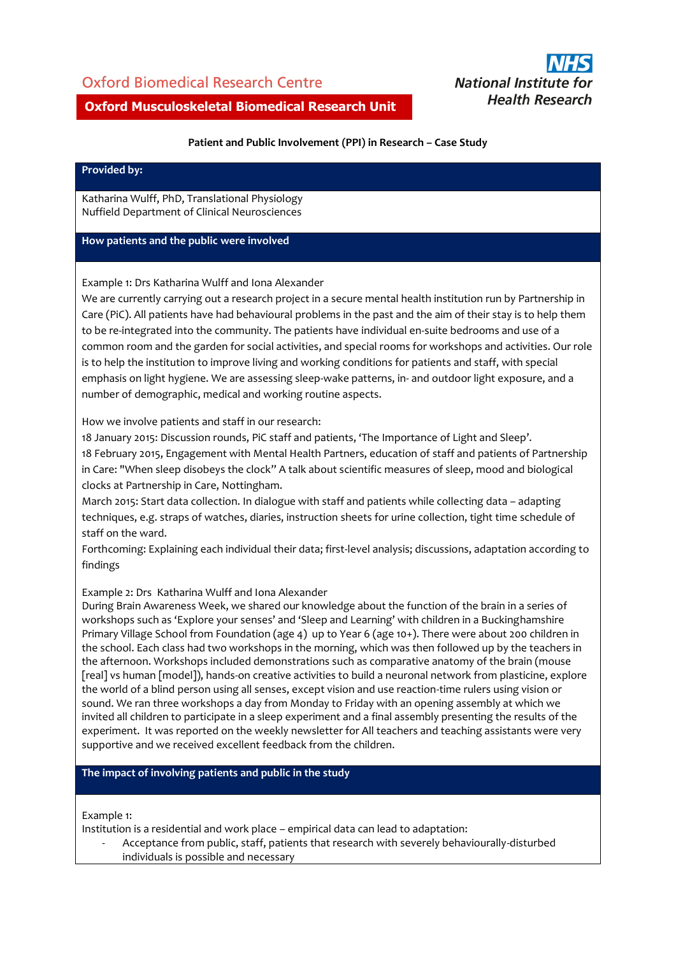## Oxford Biomedical Research Centre



### **Oxford Musculoskeletal Biomedical Research Unit**

#### **Patient and Public Involvement (PPI) in Research – Case Study**

#### **Provided by:**

Katharina Wulff, PhD, Translational Physiology Nuffield Department of Clinical Neurosciences

#### **How patients and the public were involved**

Example 1: Drs Katharina Wulff and Iona Alexander

We are currently carrying out a research project in a secure mental health institution run by Partnership in Care (PiC). All patients have had behavioural problems in the past and the aim of their stay is to help them to be re-integrated into the community. The patients have individual en-suite bedrooms and use of a common room and the garden for social activities, and special rooms for workshops and activities. Our role is to help the institution to improve living and working conditions for patients and staff, with special emphasis on light hygiene. We are assessing sleep-wake patterns, in- and outdoor light exposure, and a number of demographic, medical and working routine aspects.

How we involve patients and staff in our research:

18 January 2015: Discussion rounds, PiC staff and patients, 'The Importance of Light and Sleep'.

18 February 2015, Engagement with Mental Health Partners, education of staff and patients of Partnership in Care: "When sleep disobeys the clock" A talk about scientific measures of sleep, mood and biological clocks at Partnership in Care, Nottingham.

March 2015: Start data collection. In dialogue with staff and patients while collecting data – adapting techniques, e.g. straps of watches, diaries, instruction sheets for urine collection, tight time schedule of staff on the ward.

Forthcoming: Explaining each individual their data; first-level analysis; discussions, adaptation according to findings

#### Example 2: Drs Katharina Wulff and Iona Alexander

During Brain Awareness Week, we shared our knowledge about the function of the brain in a series of workshops such as 'Explore your senses' and 'Sleep and Learning' with children in a Buckinghamshire Primary Village School from Foundation (age 4) up to Year 6 (age 10+). There were about 200 children in the school. Each class had two workshops in the morning, which was then followed up by the teachers in the afternoon. Workshops included demonstrations such as comparative anatomy of the brain (mouse [real] vs human [model]), hands-on creative activities to build a neuronal network from plasticine, explore the world of a blind person using all senses, except vision and use reaction-time rulers using vision or sound. We ran three workshops a day from Monday to Friday with an opening assembly at which we invited all children to participate in a sleep experiment and a final assembly presenting the results of the experiment. It was reported on the weekly newsletter for All teachers and teaching assistants were very supportive and we received excellent feedback from the children.

#### **The impact of involving patients and public in the study**

Example 1:

Institution is a residential and work place – empirical data can lead to adaptation:

Acceptance from public, staff, patients that research with severely behaviourally-disturbed individuals is possible and necessary